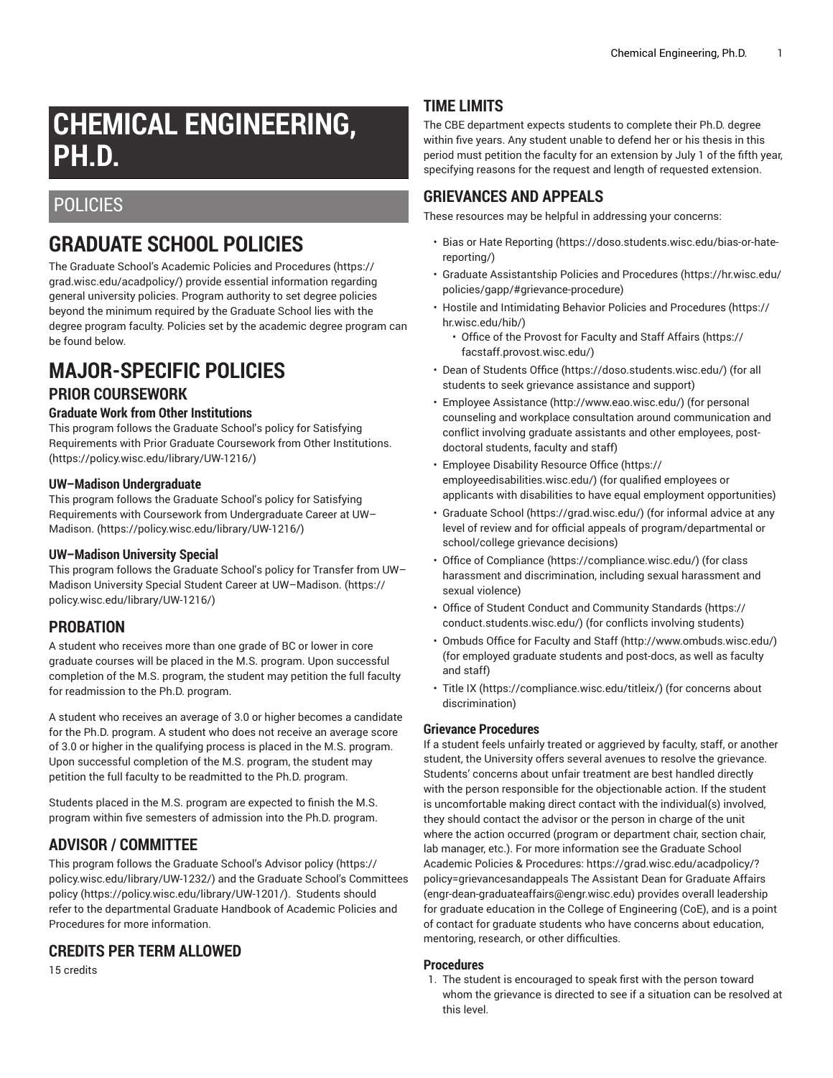# **CHEMICAL ENGINEERING, PH.D.**

# **POLICIES**

# **GRADUATE SCHOOL POLICIES**

The Graduate School's Academic Policies and [Procedures](https://grad.wisc.edu/acadpolicy/) ([https://](https://grad.wisc.edu/acadpolicy/) [grad.wisc.edu/acadpolicy/\)](https://grad.wisc.edu/acadpolicy/) provide essential information regarding general university policies. Program authority to set degree policies beyond the minimum required by the Graduate School lies with the degree program faculty. Policies set by the academic degree program can be found below.

# **MAJOR-SPECIFIC POLICIES**

### **PRIOR COURSEWORK**

#### **Graduate Work from Other Institutions**

This program follows the [Graduate School's policy for Satisfying](https://policy.wisc.edu/library/UW-1216/) [Requirements](https://policy.wisc.edu/library/UW-1216/) with Prior Graduate Coursework from Other Institutions. ([https://policy.wisc.edu/library/UW-1216/\)](https://policy.wisc.edu/library/UW-1216/)

#### **UW–Madison Undergraduate**

This program follows the [Graduate School's policy for Satisfying](https://policy.wisc.edu/library/UW-1216/) Requirements with Coursework from [Undergraduate](https://policy.wisc.edu/library/UW-1216/) Career at UW– [Madison.](https://policy.wisc.edu/library/UW-1216/) (<https://policy.wisc.edu/library/UW-1216/>)

#### **UW–Madison University Special**

This program follows the [Graduate](https://policy.wisc.edu/library/UW-1216/) School's policy for Transfer from UW– Madison University Special Student Career at [UW–Madison.](https://policy.wisc.edu/library/UW-1216/) ([https://](https://policy.wisc.edu/library/UW-1216/) [policy.wisc.edu/library/UW-1216/\)](https://policy.wisc.edu/library/UW-1216/)

### **PROBATION**

A student who receives more than one grade of BC or lower in core graduate courses will be placed in the M.S. program. Upon successful completion of the M.S. program, the student may petition the full faculty for readmission to the Ph.D. program.

A student who receives an average of 3.0 or higher becomes a candidate for the Ph.D. program. A student who does not receive an average score of 3.0 or higher in the qualifying process is placed in the M.S. program. Upon successful completion of the M.S. program, the student may petition the full faculty to be readmitted to the Ph.D. program.

Students placed in the M.S. program are expected to finish the M.S. program within five semesters of admission into the Ph.D. program.

# **ADVISOR / COMMITTEE**

This program follows the [Graduate](https://policy.wisc.edu/library/UW-1232/) School's Advisor policy ([https://](https://policy.wisc.edu/library/UW-1232/) [policy.wisc.edu/library/UW-1232/\)](https://policy.wisc.edu/library/UW-1232/) and the Graduate School's [Committees](https://policy.wisc.edu/library/UW-1201/) [policy](https://policy.wisc.edu/library/UW-1201/) (<https://policy.wisc.edu/library/UW-1201/>). Students should refer to the departmental Graduate Handbook of Academic Policies and Procedures for more information.

### **CREDITS PER TERM ALLOWED**

15 credits

# **TIME LIMITS**

The CBE department expects students to complete their Ph.D. degree within five years. Any student unable to defend her or his thesis in this period must petition the faculty for an extension by July 1 of the fifth year, specifying reasons for the request and length of requested extension.

## **GRIEVANCES AND APPEALS**

These resources may be helpful in addressing your concerns:

- Bias or Hate [Reporting \(https://doso.students.wisc.edu/bias-or-hate](https://doso.students.wisc.edu/bias-or-hate-reporting/)[reporting/](https://doso.students.wisc.edu/bias-or-hate-reporting/))
- Graduate [Assistantship](https://hr.wisc.edu/policies/gapp/#grievance-procedure) Policies and Procedures [\(https://hr.wisc.edu/](https://hr.wisc.edu/policies/gapp/#grievance-procedure) [policies/gapp/#grievance-procedure](https://hr.wisc.edu/policies/gapp/#grievance-procedure))
- Hostile and [Intimidating](https://hr.wisc.edu/hib/) Behavior Policies and Procedures [\(https://](https://hr.wisc.edu/hib/) [hr.wisc.edu/hib/\)](https://hr.wisc.edu/hib/)
	- Office of the [Provost](https://facstaff.provost.wisc.edu/) for Faculty and Staff Affairs [\(https://](https://facstaff.provost.wisc.edu/) [facstaff.provost.wisc.edu/](https://facstaff.provost.wisc.edu/))
- [Dean of Students Office \(https://doso.students.wisc.edu/\)](https://doso.students.wisc.edu/) (for all students to seek grievance assistance and support)
- Employee [Assistance](http://www.eao.wisc.edu/) [\(http://www.eao.wisc.edu/\)](http://www.eao.wisc.edu/) (for personal counseling and workplace consultation around communication and conflict involving graduate assistants and other employees, postdoctoral students, faculty and staff)
- [Employee](https://employeedisabilities.wisc.edu/) Disability Resource Office [\(https://](https://employeedisabilities.wisc.edu/) [employeedisabilities.wisc.edu/](https://employeedisabilities.wisc.edu/)) (for qualified employees or applicants with disabilities to have equal employment opportunities)
- [Graduate School](https://grad.wisc.edu/) ([https://grad.wisc.edu/\)](https://grad.wisc.edu/) (for informal advice at any level of review and for official appeals of program/departmental or school/college grievance decisions)
- [Office of Compliance](https://compliance.wisc.edu/) ([https://compliance.wisc.edu/\)](https://compliance.wisc.edu/) (for class harassment and discrimination, including sexual harassment and sexual violence)
- Office of Student Conduct and [Community](https://conduct.students.wisc.edu/) Standards ([https://](https://conduct.students.wisc.edu/) [conduct.students.wisc.edu/](https://conduct.students.wisc.edu/)) (for conflicts involving students)
- [Ombuds](http://www.ombuds.wisc.edu/) Office for Faculty and Staff ([http://www.ombuds.wisc.edu/\)](http://www.ombuds.wisc.edu/) (for employed graduate students and post-docs, as well as faculty and staff)
- [Title](https://compliance.wisc.edu/titleix/) IX [\(https://compliance.wisc.edu/titleix/\)](https://compliance.wisc.edu/titleix/) (for concerns about discrimination)

#### **Grievance Procedures**

If a student feels unfairly treated or aggrieved by faculty, staff, or another student, the University offers several avenues to resolve the grievance. Students' concerns about unfair treatment are best handled directly with the person responsible for the objectionable action. If the student is uncomfortable making direct contact with the individual(s) involved, they should contact the advisor or the person in charge of the unit where the action occurred (program or department chair, section chair, lab manager, etc.). For more information see the Graduate School Academic Policies & Procedures: [https://grad.wisc.edu/acadpolicy/?](https://grad.wisc.edu/acadpolicy/?policy=grievancesandappeals) [policy=grievancesandappeals](https://grad.wisc.edu/acadpolicy/?policy=grievancesandappeals) The Assistant Dean for Graduate Affairs (engr-dean-graduateaffairs@engr.wisc.edu) provides overall leadership for graduate education in the College of Engineering (CoE), and is a point of contact for graduate students who have concerns about education, mentoring, research, or other difficulties.

#### **Procedures**

1. The student is encouraged to speak first with the person toward whom the grievance is directed to see if a situation can be resolved at this level.